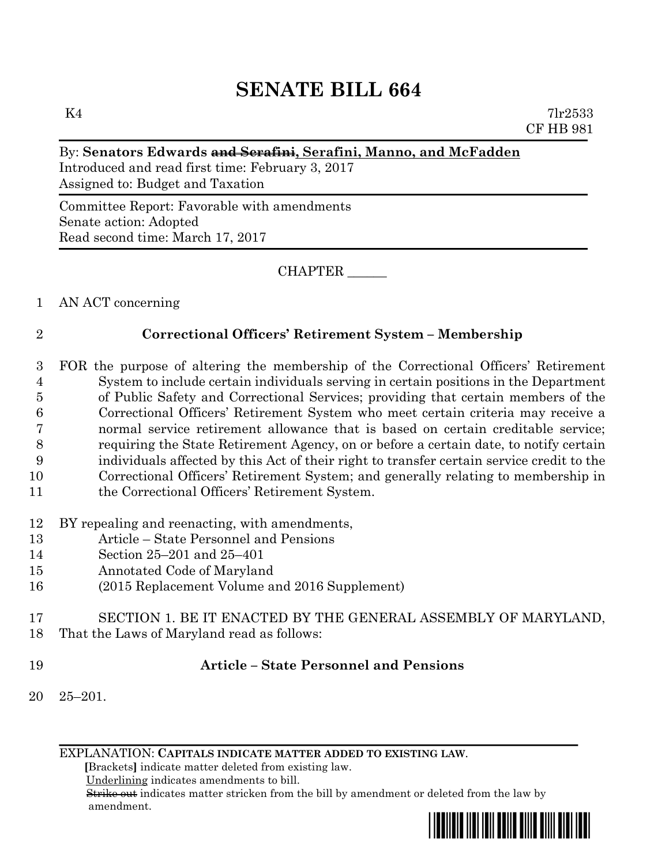# **SENATE BILL 664**

 $K4$  7lr2533 CF HB 981

### By: **Senators Edwards and Serafini, Serafini, Manno, and McFadden**

Introduced and read first time: February 3, 2017 Assigned to: Budget and Taxation

Committee Report: Favorable with amendments Senate action: Adopted Read second time: March 17, 2017

CHAPTER \_\_\_\_\_\_

1 AN ACT concerning

### 2 **Correctional Officers' Retirement System – Membership**

- 3 FOR the purpose of altering the membership of the Correctional Officers' Retirement 4 System to include certain individuals serving in certain positions in the Department 5 of Public Safety and Correctional Services; providing that certain members of the 6 Correctional Officers' Retirement System who meet certain criteria may receive a 7 normal service retirement allowance that is based on certain creditable service; 8 requiring the State Retirement Agency, on or before a certain date, to notify certain 9 individuals affected by this Act of their right to transfer certain service credit to the 10 Correctional Officers' Retirement System; and generally relating to membership in 11 the Correctional Officers' Retirement System.
- 12 BY repealing and reenacting, with amendments,
- 13 Article State Personnel and Pensions
- 14 Section 25–201 and 25–401
- 15 Annotated Code of Maryland
- 16 (2015 Replacement Volume and 2016 Supplement)
- 17 SECTION 1. BE IT ENACTED BY THE GENERAL ASSEMBLY OF MARYLAND, 18 That the Laws of Maryland read as follows:
- 

## 19 **Article – State Personnel and Pensions**

20 25–201.

EXPLANATION: **CAPITALS INDICATE MATTER ADDED TO EXISTING LAW**.

 **[**Brackets**]** indicate matter deleted from existing law.

Underlining indicates amendments to bill.

 Strike out indicates matter stricken from the bill by amendment or deleted from the law by amendment.

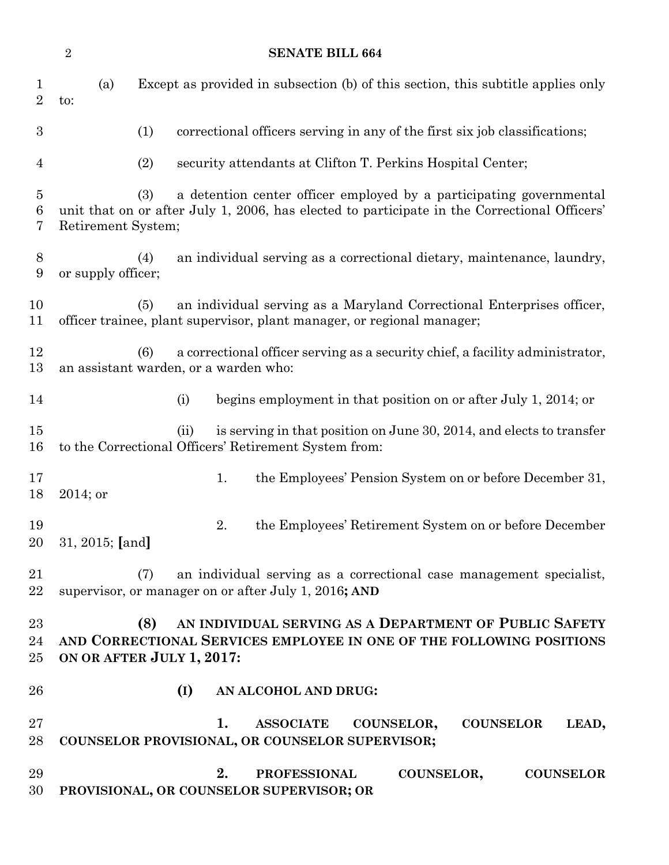|                           | <b>SENATE BILL 664</b><br>$\overline{2}$                                                                                                                                                         |  |  |  |
|---------------------------|--------------------------------------------------------------------------------------------------------------------------------------------------------------------------------------------------|--|--|--|
| $\perp$<br>$\overline{2}$ | Except as provided in subsection (b) of this section, this subtitle applies only<br>(a)<br>to:                                                                                                   |  |  |  |
| $\boldsymbol{3}$          | (1)<br>correctional officers serving in any of the first six job classifications;                                                                                                                |  |  |  |
| $\overline{4}$            | (2)<br>security attendants at Clifton T. Perkins Hospital Center;                                                                                                                                |  |  |  |
| $\overline{5}$<br>6<br>7  | a detention center officer employed by a participating governmental<br>(3)<br>unit that on or after July 1, 2006, has elected to participate in the Correctional Officers'<br>Retirement System; |  |  |  |
| 8<br>9                    | an individual serving as a correctional dietary, maintenance, laundry,<br>(4)<br>or supply officer;                                                                                              |  |  |  |
| 10<br>11                  | an individual serving as a Maryland Correctional Enterprises officer,<br>(5)<br>officer trainee, plant supervisor, plant manager, or regional manager;                                           |  |  |  |
| 12<br>13                  | a correctional officer serving as a security chief, a facility administrator,<br>(6)<br>an assistant warden, or a warden who:                                                                    |  |  |  |
| 14                        | begins employment in that position on or after July 1, 2014; or<br>(i)                                                                                                                           |  |  |  |
| 15<br>16                  | is serving in that position on June 30, 2014, and elects to transfer<br>(ii)<br>to the Correctional Officers' Retirement System from:                                                            |  |  |  |
| 17<br>18                  | 1.<br>the Employees' Pension System on or before December 31,<br>2014; or                                                                                                                        |  |  |  |
| 19<br>20                  | 2.<br>the Employees' Retirement System on or before December<br>31, 2015; [and]                                                                                                                  |  |  |  |
| 21<br>22                  | an individual serving as a correctional case management specialist,<br>(7)<br>supervisor, or manager on or after July 1, 2016; AND                                                               |  |  |  |
| 23<br>24<br>25            | AN INDIVIDUAL SERVING AS A DEPARTMENT OF PUBLIC SAFETY<br>(8)<br>AND CORRECTIONAL SERVICES EMPLOYEE IN ONE OF THE FOLLOWING POSITIONS<br>ON OR AFTER JULY 1, 2017:                               |  |  |  |
| 26                        | (I)<br>AN ALCOHOL AND DRUG:                                                                                                                                                                      |  |  |  |
| $27\,$<br>28              | 1.<br><b>ASSOCIATE</b><br><b>COUNSELOR</b><br>COUNSELOR,<br>LEAD,<br>COUNSELOR PROVISIONAL, OR COUNSELOR SUPERVISOR;                                                                             |  |  |  |
| 29<br>30                  | 2.<br><b>PROFESSIONAL</b><br>COUNSELOR,<br><b>COUNSELOR</b><br>PROVISIONAL, OR COUNSELOR SUPERVISOR; OR                                                                                          |  |  |  |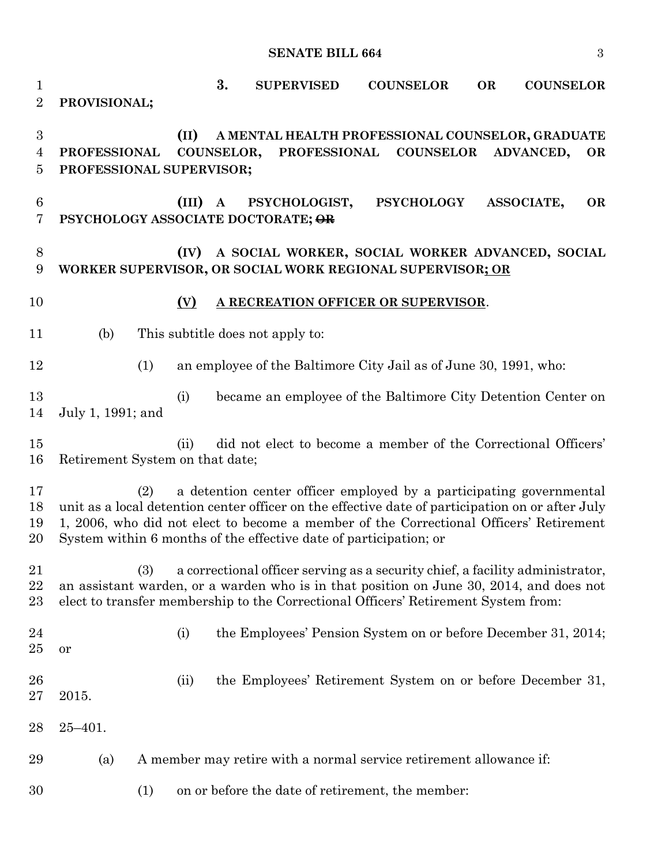**SENATE BILL 664** 3

 **3. SUPERVISED COUNSELOR OR COUNSELOR PROVISIONAL; (II) A MENTAL HEALTH PROFESSIONAL COUNSELOR, GRADUATE PROFESSIONAL COUNSELOR, PROFESSIONAL COUNSELOR ADVANCED, OR PROFESSIONAL SUPERVISOR; (III) A PSYCHOLOGIST, PSYCHOLOGY ASSOCIATE, OR PSYCHOLOGY ASSOCIATE DOCTORATE; OR (IV) A SOCIAL WORKER, SOCIAL WORKER ADVANCED, SOCIAL WORKER SUPERVISOR, OR SOCIAL WORK REGIONAL SUPERVISOR; OR (V) A RECREATION OFFICER OR SUPERVISOR**. (b) This subtitle does not apply to: (1) an employee of the Baltimore City Jail as of June 30, 1991, who: (i) became an employee of the Baltimore City Detention Center on July 1, 1991; and (ii) did not elect to become a member of the Correctional Officers' Retirement System on that date; (2) a detention center officer employed by a participating governmental unit as a local detention center officer on the effective date of participation on or after July 1, 2006, who did not elect to become a member of the Correctional Officers' Retirement System within 6 months of the effective date of participation; or (3) a correctional officer serving as a security chief, a facility administrator, an assistant warden, or a warden who is in that position on June 30, 2014, and does not elect to transfer membership to the Correctional Officers' Retirement System from: (i) the Employees' Pension System on or before December 31, 2014; or (ii) the Employees' Retirement System on or before December 31, 2015. 25–401. (a) A member may retire with a normal service retirement allowance if: (1) on or before the date of retirement, the member: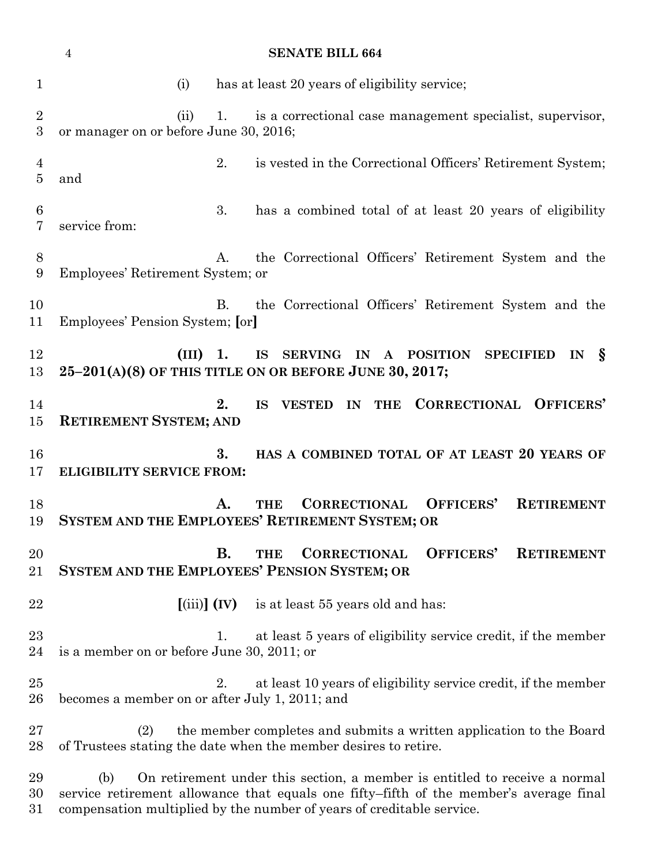|                     | $\overline{4}$                                                                                                                                                              |                                  | <b>SENATE BILL 664</b>                                                                                                                 |  |
|---------------------|-----------------------------------------------------------------------------------------------------------------------------------------------------------------------------|----------------------------------|----------------------------------------------------------------------------------------------------------------------------------------|--|
| $\mathbf 1$         | (i)                                                                                                                                                                         |                                  | has at least 20 years of eligibility service;                                                                                          |  |
| $\overline{2}$<br>3 | (ii)<br>or manager on or before June 30, 2016;                                                                                                                              | 1.                               | is a correctional case management specialist, supervisor,                                                                              |  |
| 4<br>$\overline{5}$ | and                                                                                                                                                                         | 2.                               | is vested in the Correctional Officers' Retirement System;                                                                             |  |
| 6<br>7              | service from:                                                                                                                                                               | 3.                               | has a combined total of at least 20 years of eligibility                                                                               |  |
| 8<br>9              | Employees' Retirement System; or                                                                                                                                            | A.                               | the Correctional Officers' Retirement System and the                                                                                   |  |
| 10<br>11            | Employees' Pension System; [or]                                                                                                                                             | В.                               | the Correctional Officers' Retirement System and the                                                                                   |  |
| 12<br>13            | $(III)$ 1.                                                                                                                                                                  |                                  | SERVING IN<br><b>IS</b><br>A POSITION SPECIFIED<br>- S<br>IN<br>25-201(A)(8) OF THIS TITLE ON OR BEFORE JUNE 30, 2017;                 |  |
| 14<br>15            | <b>RETIREMENT SYSTEM; AND</b>                                                                                                                                               | 2.                               | <b>CORRECTIONAL OFFICERS'</b><br><b>IS</b><br><b>VESTED</b><br>IN<br><b>THE</b>                                                        |  |
| 16<br>17            | <b>ELIGIBILITY SERVICE FROM:</b>                                                                                                                                            | 3.                               | HAS A COMBINED TOTAL OF AT LEAST 20 YEARS OF                                                                                           |  |
| 18<br>19            |                                                                                                                                                                             | A.                               | OFFICERS'<br><b>CORRECTIONAL</b><br><b>RETIREMENT</b><br><b>THE</b><br>SYSTEM AND THE EMPLOYEES' RETIREMENT SYSTEM; OR                 |  |
| 20<br>21            |                                                                                                                                                                             | В.                               | OFFICERS'<br><b>CORRECTIONAL</b><br><b>RETIREMENT</b><br>THE<br>SYSTEM AND THE EMPLOYEES' PENSION SYSTEM; OR                           |  |
| 22                  |                                                                                                                                                                             | $\left[\text{(iii)}\right]$ (IV) | is at least 55 years old and has:                                                                                                      |  |
| 23<br>24            | is a member on or before June 30, 2011; or                                                                                                                                  | 1.                               | at least 5 years of eligibility service credit, if the member                                                                          |  |
| $25\,$<br>26        | becomes a member on or after July 1, 2011; and                                                                                                                              | 2.                               | at least 10 years of eligibility service credit, if the member                                                                         |  |
| $27\,$<br>28        | (2)                                                                                                                                                                         |                                  | the member completes and submits a written application to the Board<br>of Trustees stating the date when the member desires to retire. |  |
| 29<br>30            | (b)<br>On retirement under this section, a member is entitled to receive a normal<br>service retirement allowance that equals one fifty-fifth of the member's average final |                                  |                                                                                                                                        |  |

compensation multiplied by the number of years of creditable service.